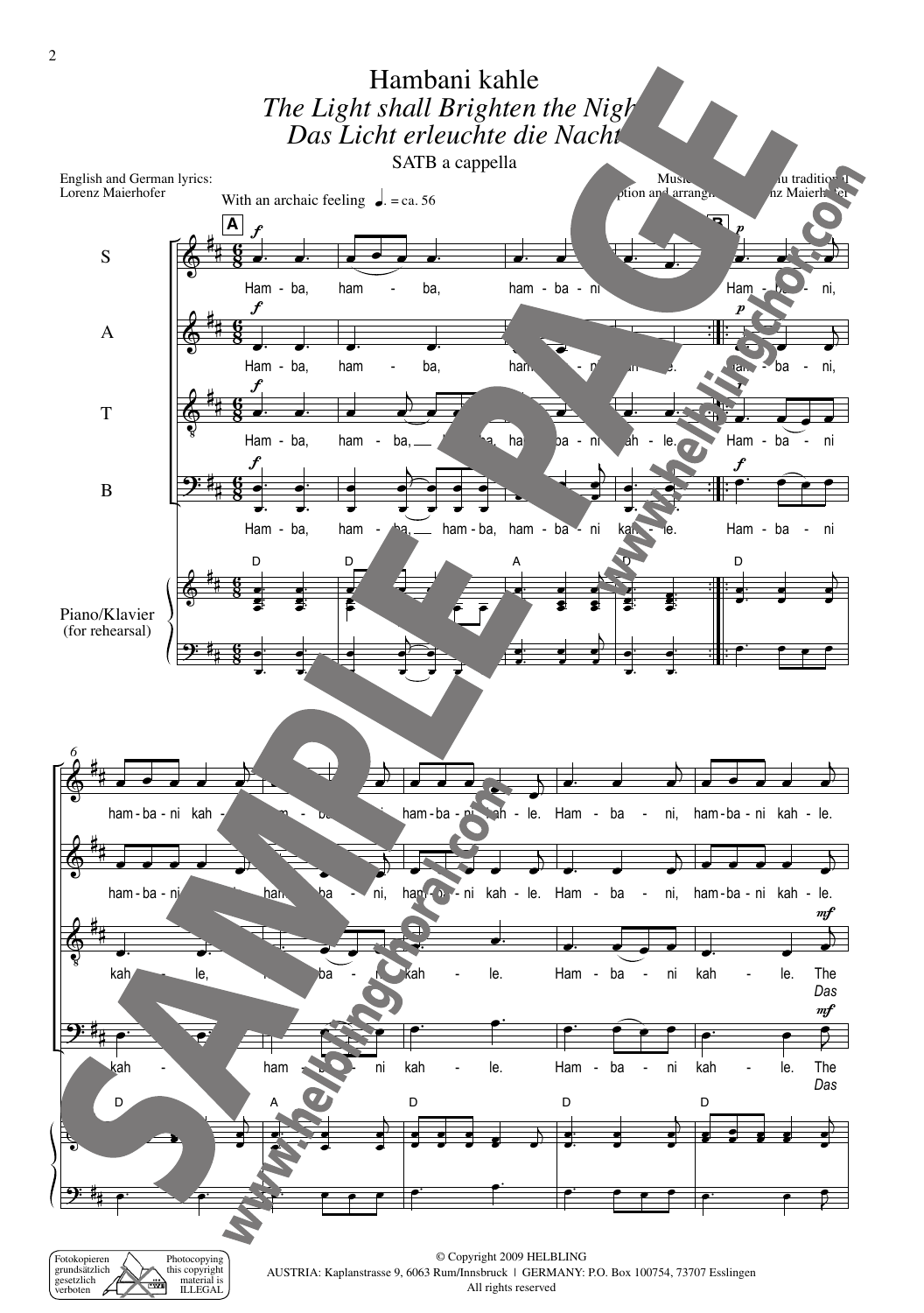

All rights reserved

ILLEGAL